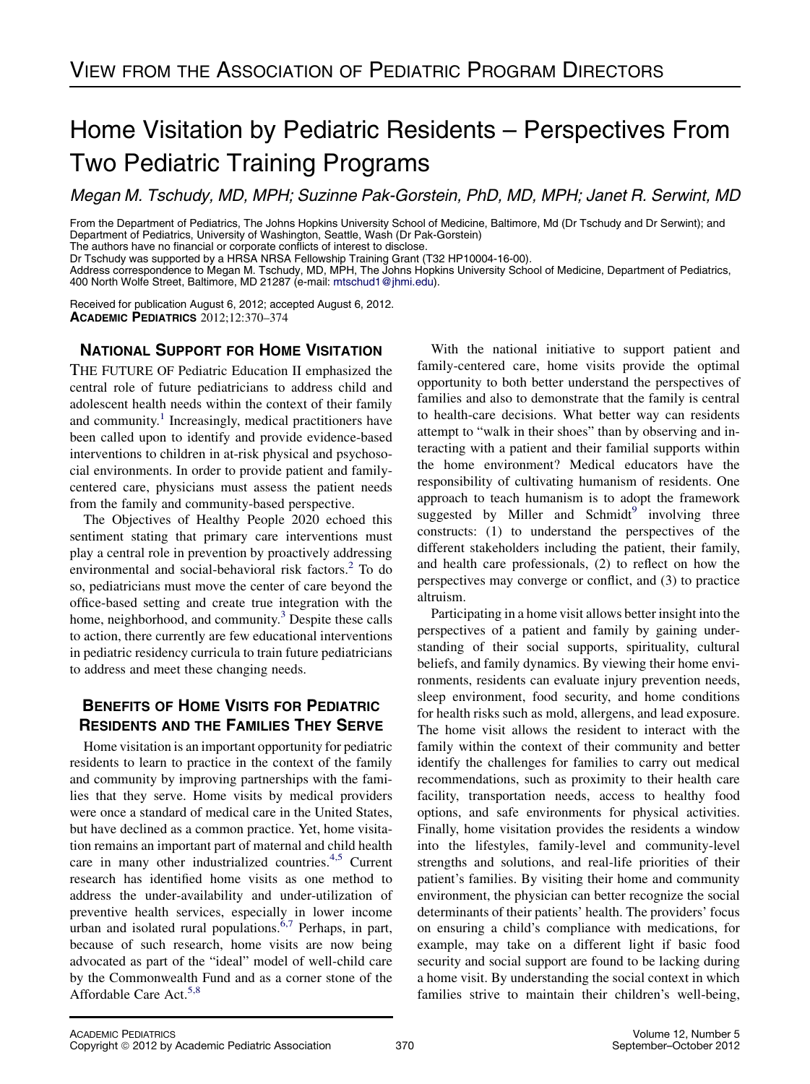# Home Visitation by Pediatric Residents – Perspectives From Two Pediatric Training Programs

Megan M. Tschudy, MD, MPH; Suzinne Pak-Gorstein, PhD, MD, MPH; Janet R. Serwint, MD

From the Department of Pediatrics, The Johns Hopkins University School of Medicine, Baltimore, Md (Dr Tschudy and Dr Serwint); and Department of Pediatrics, University of Washington, Seattle, Wash (Dr Pak-Gorstein)

The authors have no financial or corporate conflicts of interest to disclose.

Dr Tschudy was supported by a HRSA NRSA Fellowship Training Grant (T32 HP10004-16-00).

Address correspondence to Megan M. Tschudy, MD, MPH, The Johns Hopkins University School of Medicine, Department of Pediatrics, 400 North Wolfe Street, Baltimore, MD 21287 (e-mail: [mtschud1@jhmi.edu](mailto:mtschud1@jhmi.edu)).

Received for publication August 6, 2012; accepted August 6, 2012. ACADEMIC PEDIATRICS 2012;12:370–374

# NATIONAL SUPPORT FOR HOME VISITATION

THE FUTURE OF Pediatric Education II emphasized the central role of future pediatricians to address child and adolescent health needs within the context of their family and community.<sup>[1](#page-3-0)</sup> Increasingly, medical practitioners have been called upon to identify and provide evidence-based interventions to children in at-risk physical and psychosocial environments. In order to provide patient and familycentered care, physicians must assess the patient needs from the family and community-based perspective.

The Objectives of Healthy People 2020 echoed this sentiment stating that primary care interventions must play a central role in prevention by proactively addressing environmental and social-behavioral risk factors.<sup>[2](#page-3-0)</sup> To do so, pediatricians must move the center of care beyond the office-based setting and create true integration with the home, neighborhood, and community.<sup>[3](#page-3-0)</sup> Despite these calls to action, there currently are few educational interventions in pediatric residency curricula to train future pediatricians to address and meet these changing needs.

# BENEFITS OF HOME VISITS FOR PEDIATRIC RESIDENTS AND THE FAMILIES THEY SERVE

Home visitation is an important opportunity for pediatric residents to learn to practice in the context of the family and community by improving partnerships with the families that they serve. Home visits by medical providers were once a standard of medical care in the United States, but have declined as a common practice. Yet, home visitation remains an important part of maternal and child health care in many other industrialized countries. $4.5$  Current research has identified home visits as one method to address the under-availability and under-utilization of preventive health services, especially in lower income urban and isolated rural populations. $6,7$  Perhaps, in part, because of such research, home visits are now being advocated as part of the "ideal" model of well-child care by the Commonwealth Fund and as a corner stone of the Affordable Care Act.[5,8](#page-3-0)

With the national initiative to support patient and family-centered care, home visits provide the optimal opportunity to both better understand the perspectives of families and also to demonstrate that the family is central to health-care decisions. What better way can residents attempt to "walk in their shoes" than by observing and interacting with a patient and their familial supports within the home environment? Medical educators have the responsibility of cultivating humanism of residents. One approach to teach humanism is to adopt the framework suggested by Miller and Schmidt $\delta$  involving three constructs: (1) to understand the perspectives of the different stakeholders including the patient, their family, and health care professionals, (2) to reflect on how the perspectives may converge or conflict, and (3) to practice altruism.

Participating in a home visit allows better insight into the perspectives of a patient and family by gaining understanding of their social supports, spirituality, cultural beliefs, and family dynamics. By viewing their home environments, residents can evaluate injury prevention needs, sleep environment, food security, and home conditions for health risks such as mold, allergens, and lead exposure. The home visit allows the resident to interact with the family within the context of their community and better identify the challenges for families to carry out medical recommendations, such as proximity to their health care facility, transportation needs, access to healthy food options, and safe environments for physical activities. Finally, home visitation provides the residents a window into the lifestyles, family-level and community-level strengths and solutions, and real-life priorities of their patient's families. By visiting their home and community environment, the physician can better recognize the social determinants of their patients' health. The providers' focus on ensuring a child's compliance with medications, for example, may take on a different light if basic food security and social support are found to be lacking during a home visit. By understanding the social context in which families strive to maintain their children's well-being,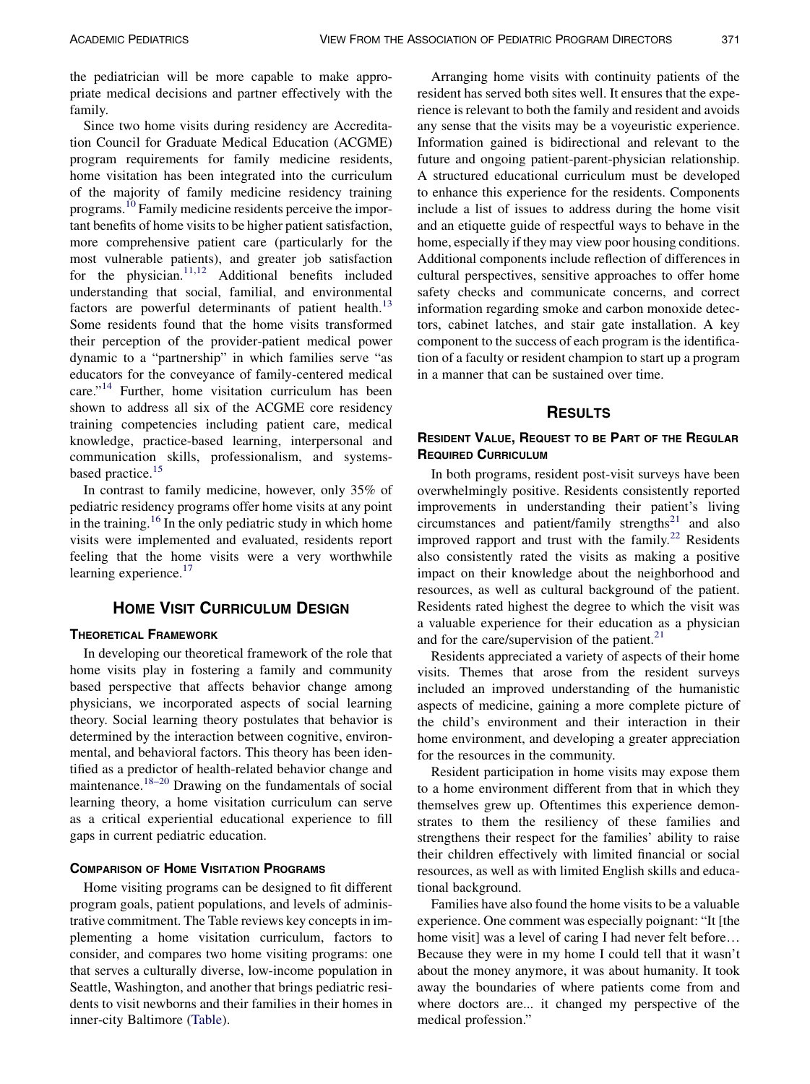the pediatrician will be more capable to make appropriate medical decisions and partner effectively with the family.

Since two home visits during residency are Accreditation Council for Graduate Medical Education (ACGME) program requirements for family medicine residents, home visitation has been integrated into the curriculum of the majority of family medicine residency training programs.<sup>[10](#page-4-0)</sup> Family medicine residents perceive the important benefits of home visits to be higher patient satisfaction, more comprehensive patient care (particularly for the most vulnerable patients), and greater job satisfaction for the physician. $11,12$  Additional benefits included understanding that social, familial, and environmental factors are powerful determinants of patient health.<sup>[13](#page-4-0)</sup> Some residents found that the home visits transformed their perception of the provider-patient medical power dynamic to a "partnership" in which families serve "as educators for the conveyance of family-centered medical care."[14](#page-4-0) Further, home visitation curriculum has been shown to address all six of the ACGME core residency training competencies including patient care, medical knowledge, practice-based learning, interpersonal and communication skills, professionalism, and systems-based practice.<sup>[15](#page-4-0)</sup>

In contrast to family medicine, however, only 35% of pediatric residency programs offer home visits at any point in the training.<sup>[16](#page-4-0)</sup> In the only pediatric study in which home visits were implemented and evaluated, residents report feeling that the home visits were a very worthwhile learning experience. $17$ 

## HOME VISIT CURRICULUM DESIGN

#### THEORETICAL FRAMEWORK

In developing our theoretical framework of the role that home visits play in fostering a family and community based perspective that affects behavior change among physicians, we incorporated aspects of social learning theory. Social learning theory postulates that behavior is determined by the interaction between cognitive, environmental, and behavioral factors. This theory has been identified as a predictor of health-related behavior change and maintenance.[18–20](#page-4-0) Drawing on the fundamentals of social learning theory, a home visitation curriculum can serve as a critical experiential educational experience to fill gaps in current pediatric education.

### COMPARISON OF HOME VISITATION PROGRAMS

Home visiting programs can be designed to fit different program goals, patient populations, and levels of administrative commitment. The Table reviews key concepts in implementing a home visitation curriculum, factors to consider, and compares two home visiting programs: one that serves a culturally diverse, low-income population in Seattle, Washington, and another that brings pediatric residents to visit newborns and their families in their homes in inner-city Baltimore [\(Table](#page-2-0)).

Arranging home visits with continuity patients of the resident has served both sites well. It ensures that the experience is relevant to both the family and resident and avoids any sense that the visits may be a voyeuristic experience. Information gained is bidirectional and relevant to the future and ongoing patient-parent-physician relationship. A structured educational curriculum must be developed to enhance this experience for the residents. Components include a list of issues to address during the home visit and an etiquette guide of respectful ways to behave in the home, especially if they may view poor housing conditions. Additional components include reflection of differences in cultural perspectives, sensitive approaches to offer home safety checks and communicate concerns, and correct information regarding smoke and carbon monoxide detectors, cabinet latches, and stair gate installation. A key component to the success of each program is the identification of a faculty or resident champion to start up a program in a manner that can be sustained over time.

#### **RESULTS**

### RESIDENT VALUE, REQUEST TO BE PART OF THE REGULAR REQUIRED CURRICULUM

In both programs, resident post-visit surveys have been overwhelmingly positive. Residents consistently reported improvements in understanding their patient's living circumstances and patient/family strengths $21$  and also improved rapport and trust with the family.<sup>[22](#page-4-0)</sup> Residents also consistently rated the visits as making a positive impact on their knowledge about the neighborhood and resources, as well as cultural background of the patient. Residents rated highest the degree to which the visit was a valuable experience for their education as a physician and for the care/supervision of the patient. $21$ 

Residents appreciated a variety of aspects of their home visits. Themes that arose from the resident surveys included an improved understanding of the humanistic aspects of medicine, gaining a more complete picture of the child's environment and their interaction in their home environment, and developing a greater appreciation for the resources in the community.

Resident participation in home visits may expose them to a home environment different from that in which they themselves grew up. Oftentimes this experience demonstrates to them the resiliency of these families and strengthens their respect for the families' ability to raise their children effectively with limited financial or social resources, as well as with limited English skills and educational background.

Families have also found the home visits to be a valuable experience. One comment was especially poignant: "It [the home visit] was a level of caring I had never felt before... Because they were in my home I could tell that it wasn't about the money anymore, it was about humanity. It took away the boundaries of where patients come from and where doctors are... it changed my perspective of the medical profession."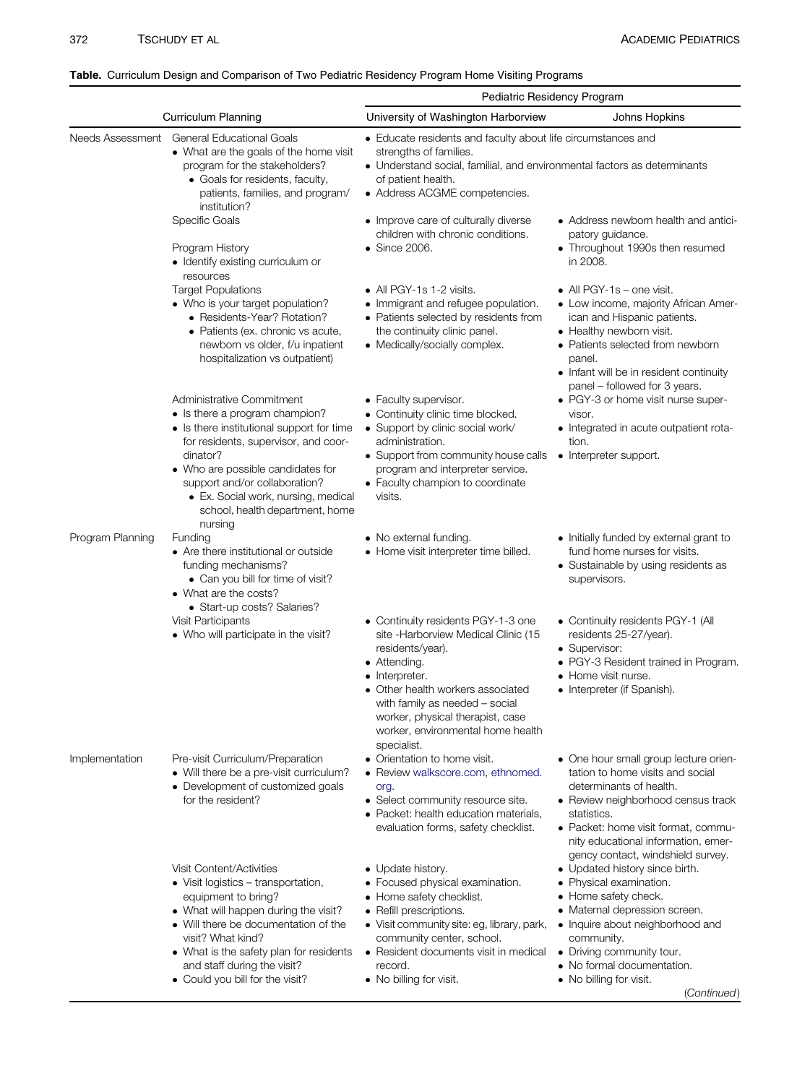# <span id="page-2-0"></span>Table. Curriculum Design and Comparison of Two Pediatric Residency Program Home Visiting Programs

|                  |                                                                                                                                                                                                                                                                                                                         | Pediatric Residency Program                                                                                                                                                                                                                                                                     |                                                                                                                                                                                                                                                                                                                |  |
|------------------|-------------------------------------------------------------------------------------------------------------------------------------------------------------------------------------------------------------------------------------------------------------------------------------------------------------------------|-------------------------------------------------------------------------------------------------------------------------------------------------------------------------------------------------------------------------------------------------------------------------------------------------|----------------------------------------------------------------------------------------------------------------------------------------------------------------------------------------------------------------------------------------------------------------------------------------------------------------|--|
|                  | <b>Curriculum Planning</b>                                                                                                                                                                                                                                                                                              | University of Washington Harborview                                                                                                                                                                                                                                                             | Johns Hopkins                                                                                                                                                                                                                                                                                                  |  |
| Needs Assessment | <b>General Educational Goals</b><br>• What are the goals of the home visit<br>program for the stakeholders?<br>• Goals for residents, faculty,<br>patients, families, and program/<br>institution?                                                                                                                      | • Educate residents and faculty about life circumstances and<br>strengths of families.<br>• Understand social, familial, and environmental factors as determinants<br>of patient health.<br>• Address ACGME competencies.                                                                       |                                                                                                                                                                                                                                                                                                                |  |
|                  | Specific Goals<br>Program History<br>• Identify existing curriculum or<br>resources                                                                                                                                                                                                                                     | • Improve care of culturally diverse<br>children with chronic conditions.<br>• Since 2006.                                                                                                                                                                                                      | • Address newborn health and antici-<br>patory guidance.<br>• Throughout 1990s then resumed<br>in 2008.                                                                                                                                                                                                        |  |
|                  | <b>Target Populations</b><br>• Who is your target population?<br>• Residents-Year? Rotation?<br>• Patients (ex. chronic vs acute,<br>newborn vs older, f/u inpatient<br>hospitalization vs outpatient)                                                                                                                  | • All PGY-1s 1-2 visits.<br>• Immigrant and refugee population.<br>• Patients selected by residents from<br>the continuity clinic panel.<br>• Medically/socially complex.                                                                                                                       | • All PGY-1s - one visit.<br>• Low income, majority African Amer-<br>ican and Hispanic patients.<br>• Healthy newborn visit.<br>• Patients selected from newborn<br>panel.<br>• Infant will be in resident continuity<br>panel – followed for 3 years.                                                         |  |
|                  | Administrative Commitment<br>• Is there a program champion?<br>• Is there institutional support for time<br>for residents, supervisor, and coor-<br>dinator?<br>• Who are possible candidates for<br>support and/or collaboration?<br>• Ex. Social work, nursing, medical<br>school, health department, home<br>nursing | • Faculty supervisor.<br>• Continuity clinic time blocked.<br>• Support by clinic social work/<br>administration.<br>• Support from community house calls<br>program and interpreter service.<br>• Faculty champion to coordinate<br>visits.                                                    | • PGY-3 or home visit nurse super-<br>visor.<br>• Integrated in acute outpatient rota-<br>tion.<br>• Interpreter support.                                                                                                                                                                                      |  |
| Program Planning | Funding<br>• Are there institutional or outside<br>funding mechanisms?<br>• Can you bill for time of visit?<br>• What are the costs?<br>• Start-up costs? Salaries?                                                                                                                                                     | • No external funding.<br>• Home visit interpreter time billed.                                                                                                                                                                                                                                 | • Initially funded by external grant to<br>fund home nurses for visits.<br>• Sustainable by using residents as<br>supervisors.                                                                                                                                                                                 |  |
|                  | Visit Participants<br>• Who will participate in the visit?                                                                                                                                                                                                                                                              | • Continuity residents PGY-1-3 one<br>site - Harborview Medical Clinic (15<br>residents/year).<br>• Attending.<br>• Interpreter.<br>• Other health workers associated<br>with family as needed - social<br>worker, physical therapist, case<br>worker, environmental home health<br>specialist. | • Continuity residents PGY-1 (All<br>residents 25-27/year).<br>• Supervisor:<br>• PGY-3 Resident trained in Program.<br>$\bullet\,$ Home visit nurse.<br>• Interpreter (if Spanish).                                                                                                                           |  |
| Implementation   | Pre-visit Curriculum/Preparation<br>• Will there be a pre-visit curriculum?<br>• Development of customized goals<br>for the resident?                                                                                                                                                                                   | • Orientation to home visit.<br>• Review walkscore.com, ethnomed.<br>org.<br>• Select community resource site.<br>• Packet: health education materials,<br>evaluation forms, safety checklist.                                                                                                  | • One hour small group lecture orien-<br>tation to home visits and social<br>determinants of health.<br>• Review neighborhood census track<br>statistics.<br>• Packet: home visit format, commu-<br>nity educational information, emer-                                                                        |  |
|                  | Visit Content/Activities<br>• Visit logistics – transportation,<br>equipment to bring?<br>• What will happen during the visit?<br>• Will there be documentation of the<br>visit? What kind?<br>• What is the safety plan for residents<br>and staff during the visit?<br>• Could you bill for the visit?                | • Update history.<br>• Focused physical examination.<br>• Home safety checklist.<br>• Refill prescriptions.<br>• Visit community site: eg, library, park,<br>community center, school.<br>• Resident documents visit in medical<br>record.<br>• No billing for visit.                           | gency contact, windshield survey.<br>• Updated history since birth.<br>• Physical examination.<br>• Home safety check.<br>• Maternal depression screen.<br>• Inquire about neighborhood and<br>community.<br>• Driving community tour.<br>• No formal documentation.<br>• No billing for visit.<br>(Continued) |  |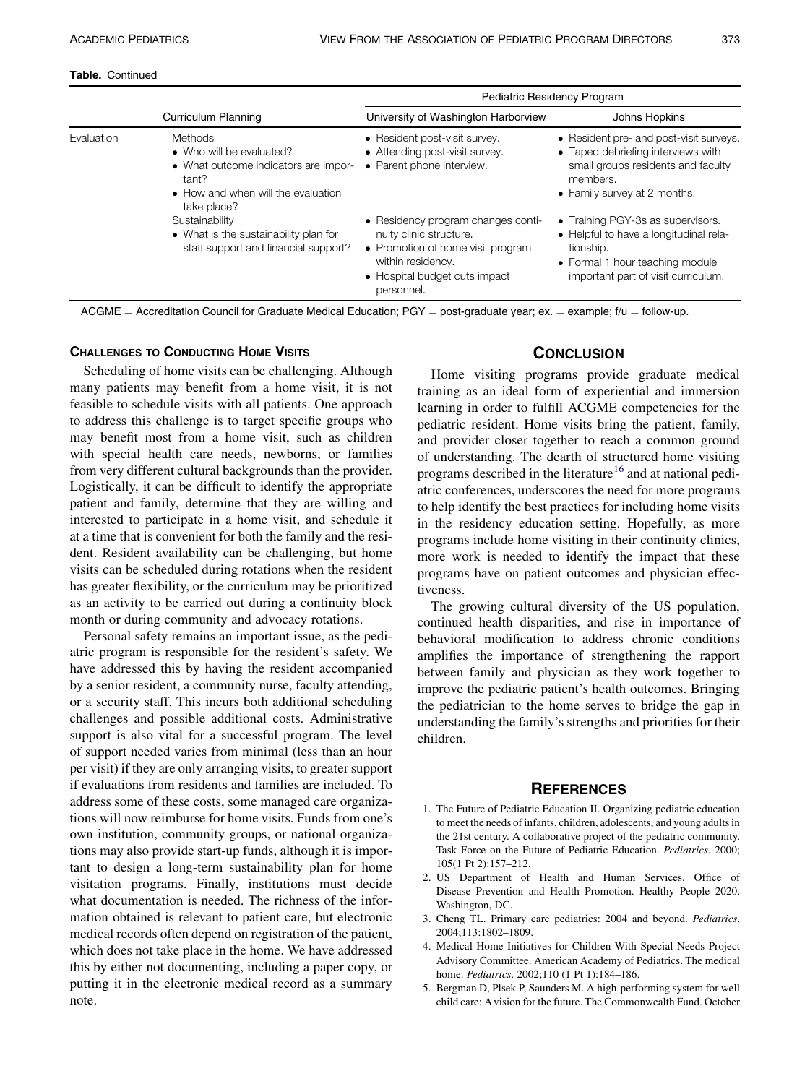#### <span id="page-3-0"></span>Table. Continued

|            |                                                                                                                                                  | Pediatric Residency Program                                                                                                                                            |                                                                                                                                                                    |
|------------|--------------------------------------------------------------------------------------------------------------------------------------------------|------------------------------------------------------------------------------------------------------------------------------------------------------------------------|--------------------------------------------------------------------------------------------------------------------------------------------------------------------|
|            | Curriculum Planning                                                                                                                              | University of Washington Harborview                                                                                                                                    | Johns Hopkins                                                                                                                                                      |
| Evaluation | <b>Methods</b><br>• Who will be evaluated?<br>• What outcome indicators are impor-<br>tant?<br>• How and when will the evaluation<br>take place? | • Resident post-visit survey.<br>• Attending post-visit survey.<br>• Parent phone interview.                                                                           | • Resident pre- and post-visit surveys.<br>• Taped debriefing interviews with<br>small groups residents and faculty<br>members.<br>• Family survey at 2 months.    |
|            | Sustainability<br>• What is the sustainability plan for<br>staff support and financial support?                                                  | • Residency program changes conti-<br>nuity clinic structure.<br>• Promotion of home visit program<br>within residency.<br>• Hospital budget cuts impact<br>personnel. | • Training PGY-3s as supervisors.<br>• Helpful to have a longitudinal rela-<br>tionship.<br>• Formal 1 hour teaching module<br>important part of visit curriculum. |

 $ACGME = Accreditation Council for Graduate Medical Education; PGY = post-graduate year; ex. = example; f/u = follow-up.$ 

#### CHALLENGES TO CONDUCTING HOME VISITS

Scheduling of home visits can be challenging. Although many patients may benefit from a home visit, it is not feasible to schedule visits with all patients. One approach to address this challenge is to target specific groups who may benefit most from a home visit, such as children with special health care needs, newborns, or families from very different cultural backgrounds than the provider. Logistically, it can be difficult to identify the appropriate patient and family, determine that they are willing and interested to participate in a home visit, and schedule it at a time that is convenient for both the family and the resident. Resident availability can be challenging, but home visits can be scheduled during rotations when the resident has greater flexibility, or the curriculum may be prioritized as an activity to be carried out during a continuity block month or during community and advocacy rotations.

Personal safety remains an important issue, as the pediatric program is responsible for the resident's safety. We have addressed this by having the resident accompanied by a senior resident, a community nurse, faculty attending, or a security staff. This incurs both additional scheduling challenges and possible additional costs. Administrative support is also vital for a successful program. The level of support needed varies from minimal (less than an hour per visit) if they are only arranging visits, to greater support if evaluations from residents and families are included. To address some of these costs, some managed care organizations will now reimburse for home visits. Funds from one's own institution, community groups, or national organizations may also provide start-up funds, although it is important to design a long-term sustainability plan for home visitation programs. Finally, institutions must decide what documentation is needed. The richness of the information obtained is relevant to patient care, but electronic medical records often depend on registration of the patient, which does not take place in the home. We have addressed this by either not documenting, including a paper copy, or putting it in the electronic medical record as a summary note.

## **CONCLUSION**

Home visiting programs provide graduate medical training as an ideal form of experiential and immersion learning in order to fulfill ACGME competencies for the pediatric resident. Home visits bring the patient, family, and provider closer together to reach a common ground of understanding. The dearth of structured home visiting programs described in the literature<sup>[16](#page-4-0)</sup> and at national pediatric conferences, underscores the need for more programs to help identify the best practices for including home visits in the residency education setting. Hopefully, as more programs include home visiting in their continuity clinics, more work is needed to identify the impact that these programs have on patient outcomes and physician effectiveness.

The growing cultural diversity of the US population, continued health disparities, and rise in importance of behavioral modification to address chronic conditions amplifies the importance of strengthening the rapport between family and physician as they work together to improve the pediatric patient's health outcomes. Bringing the pediatrician to the home serves to bridge the gap in understanding the family's strengths and priorities for their children.

### **REFERENCES**

- 1. The Future of Pediatric Education II. Organizing pediatric education to meet the needs of infants, children, adolescents, and young adults in the 21st century. A collaborative project of the pediatric community. Task Force on the Future of Pediatric Education. Pediatrics. 2000; 105(1 Pt 2):157–212.
- 2. US Department of Health and Human Services. Office of Disease Prevention and Health Promotion. Healthy People 2020. Washington, DC.
- 3. Cheng TL. Primary care pediatrics: 2004 and beyond. Pediatrics. 2004;113:1802–1809.
- 4. Medical Home Initiatives for Children With Special Needs Project Advisory Committee. American Academy of Pediatrics. The medical home. Pediatrics. 2002;110 (1 Pt 1):184-186.
- 5. Bergman D, Plsek P, Saunders M. A high-performing system for well child care: A vision for the future. The Commonwealth Fund. October